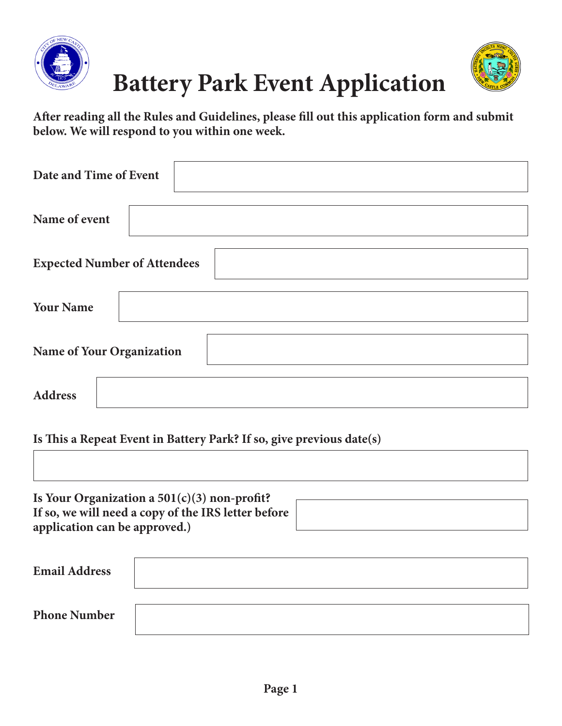



**After reading all the Rules and Guidelines, please fill out this application form and submit below. We will respond to you within one week.**

| Date and Time of Event              |  |
|-------------------------------------|--|
| Name of event                       |  |
| <b>Expected Number of Attendees</b> |  |
| <b>Your Name</b>                    |  |
| Name of Your Organization           |  |
| <b>Address</b>                      |  |

**Is This a Repeat Event in Battery Park? If so, give previous date(s)**

| Is Your Organization a $501(c)(3)$ non-profit?      |  |
|-----------------------------------------------------|--|
| If so, we will need a copy of the IRS letter before |  |
| application can be approved.)                       |  |

| <b>Email Address</b> |  |
|----------------------|--|
| <b>Phone Number</b>  |  |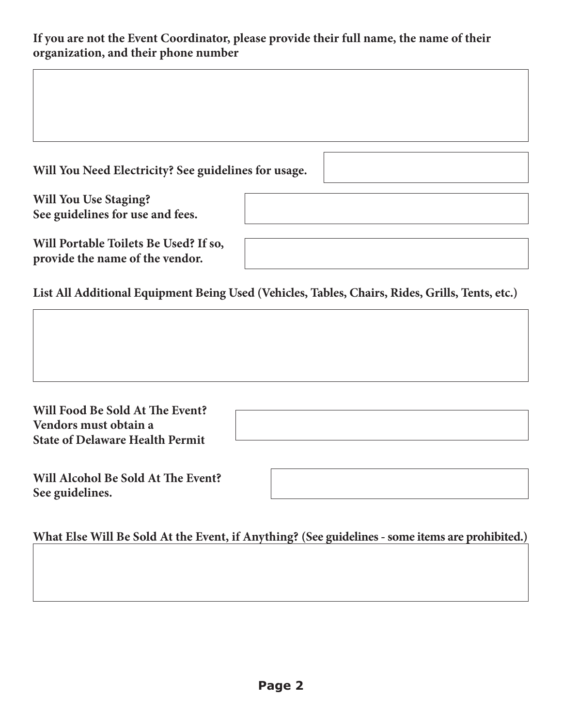## **If you are not the Event Coordinator, please provide their full name, the name of their organization, and their phone number**

| Will You Need Electricity? See guidelines for usage.                     |  |
|--------------------------------------------------------------------------|--|
| <b>Will You Use Staging?</b>                                             |  |
| See guidelines for use and fees.                                         |  |
| Will Portable Toilets Be Used? If so,<br>provide the name of the vendor. |  |

**List All Additional Equipment Being Used (Vehicles, Tables, Chairs, Rides, Grills, Tents, etc.)**

| Will Food Be Sold At The Event?        |
|----------------------------------------|
| Vendors must obtain a                  |
| <b>State of Delaware Health Permit</b> |

**Will Alcohol Be Sold At The Event? See guidelines.**

**ME ABOUT EVENT FEES.**

**What Else Will Be Sold At the Event, if Anything? (See guidelines - some items are prohibited.)**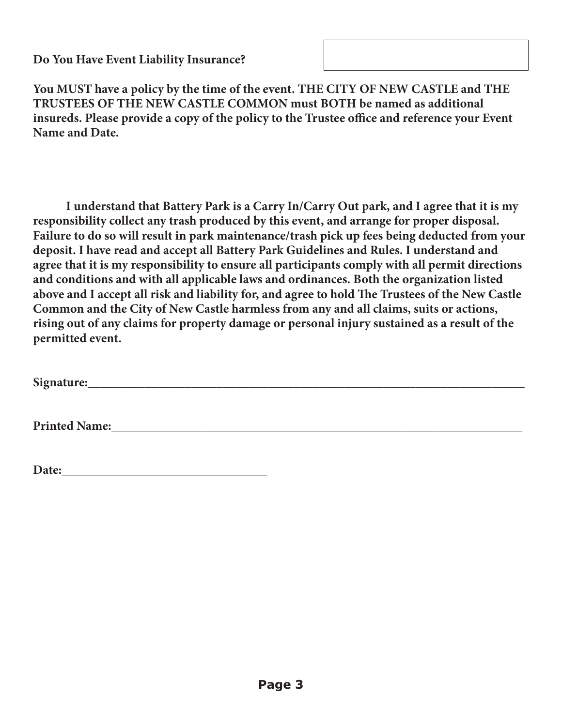**Do You Have Event Liability Insurance?**

**You MUST have a policy by the time of the event. THE CITY OF NEW CASTLE and THE TRUSTEES OF THE NEW CASTLE COMMON must BOTH be named as additional insureds. Please provide a copy of the policy to the Trustee office and reference your Event Name and Date.**

**I understand that Battery Park is a Carry In/Carry Out park, and I agree that it is my responsibility collect any trash produced by this event, and arrange for proper disposal. Failure to do so will result in park maintenance/trash pick up fees being deducted from your deposit. I have read and accept all Battery Park Guidelines and Rules. I understand and agree that it is my responsibility to ensure all participants comply with all permit directions and conditions and with all applicable laws and ordinances. Both the organization listed above and I accept all risk and liability for, and agree to hold The Trustees of the New Castle Common and the City of New Castle harmless from any and all claims, suits or actions, rising out of any claims for property damage or personal injury sustained as a result of the permitted event.**

**Signature:\_\_\_\_\_\_\_\_\_\_\_\_\_\_\_\_\_\_\_\_\_\_\_\_\_\_\_\_\_\_\_\_\_\_\_\_\_\_\_\_\_\_\_\_\_\_\_\_\_\_\_\_\_\_\_\_\_\_\_\_\_\_\_\_\_\_\_\_**

**Printed Name:**